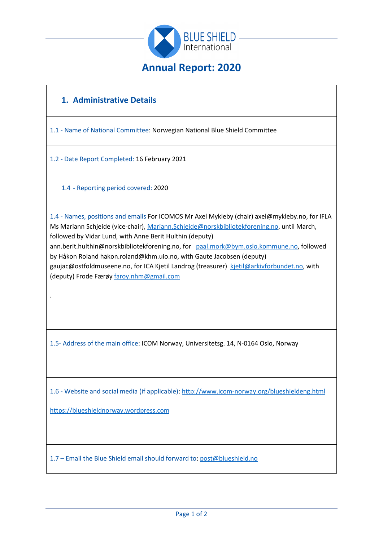

# **1. Administrative Details**

1.1 - Name of National Committee: Norwegian National Blue Shield Committee

1.2 - Date Report Completed: 16 February 2021

1.4 - Reporting period covered: 2020

1.4 - Names, positions and emails For ICOMOS Mr Axel Mykleby (chair) axel@mykleby.no, for IFLA Ms Mariann Schjeide (vice-chair), [Mariann.Schjeide@norskbibliotekforening.no,](mailto:Mariann.Schjeide@norskbibliotekforening.no) until March, followed by Vidar Lund, with Anne Berit Hulthin (deputy) ann.berit.hulthin@norskbibliotekforening.no, for [paal.mork@bym.oslo.kommune.no,](mailto:paal.mork@bym.oslo.kommune.no) followed by Håkon Roland hakon.roland@khm.uio.no, with Gaute Jacobsen (deputy) gaujac@ostfoldmuseene.no, for ICA Kjetil Landrog (treasurer) [kjetil@arkivforbundet.no,](mailto:kjetil@arkivforbundet.no) with (deputy) Frode Færøy [faroy.nhm@gmail.com](mailto:faroy.nhm@gmail.com)

1.5- Address of the main office: ICOM Norway, Universitetsg. 14, N-0164 Oslo, Norway

1.6 - Website and social media (if applicable): <http://www.icom-norway.org/blueshieldeng.html>

[https://blueshieldnorway.wordpress.com](https://blueshieldnorway.wordpress.com/)

.

1.7 – Email the Blue Shield email should forward to: [post@blueshield.no](mailto:post@blueshield.no)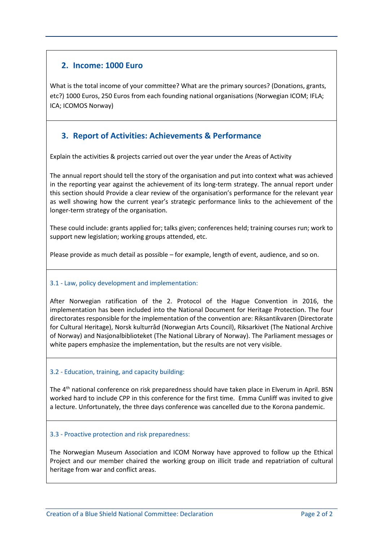## **2. Income: 1000 Euro**

What is the total income of your committee? What are the primary sources? (Donations, grants, etc?) 1000 Euros, 250 Euros from each founding national organisations (Norwegian ICOM; IFLA; ICA; ICOMOS Norway)

## **3. Report of Activities: Achievements & Performance**

Explain the activities & projects carried out over the year under the Areas of Activity

The annual report should tell the story of the organisation and put into context what was achieved in the reporting year against the achievement of its long-term strategy. The annual report under this section should Provide a clear review of the organisation's performance for the relevant year as well showing how the current year's strategic performance links to the achievement of the longer-term strategy of the organisation.

These could include: grants applied for; talks given; conferences held; training courses run; work to support new legislation; working groups attended, etc.

Please provide as much detail as possible – for example, length of event, audience, and so on.

### 3.1 - Law, policy development and implementation:

After Norwegian ratification of the 2. Protocol of the Hague Convention in 2016, the implementation has been included into the National Document for Heritage Protection. The four directorates responsible for the implementation of the convention are: Riksantikvaren (Directorate for Cultural Heritage), Norsk kulturråd (Norwegian Arts Council), Riksarkivet (The National Archive of Norway) and Nasjonalbiblioteket (The National Library of Norway). The Parliament messages or white papers emphasize the implementation, but the results are not very visible.

### 3.2 - Education, training, and capacity building:

The 4<sup>th</sup> national conference on risk preparedness should have taken place in Elverum in April. BSN worked hard to include CPP in this conference for the first time. Emma Cunliff was invited to give a lecture. Unfortunately, the three days conference was cancelled due to the Korona pandemic.

#### 3.3 - Proactive protection and risk preparedness:

The Norwegian Museum Association and ICOM Norway have approved to follow up the Ethical Project and our member chaired the working group on illicit trade and repatriation of cultural heritage from war and conflict areas.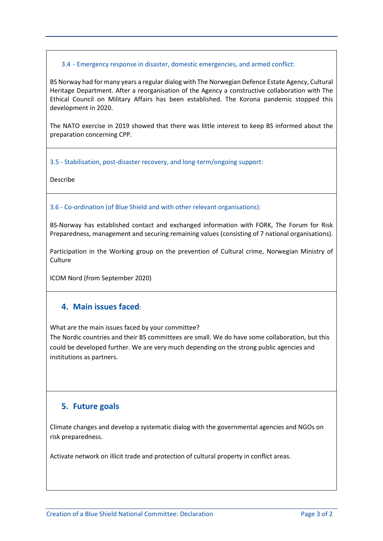#### 3.4 - Emergency response in disaster, domestic emergencies, and armed conflict:

BS Norway had for many years a regular dialog with The Norwegian Defence Estate Agency, Cultural Heritage Department. After a reorganisation of the Agency a constructive collaboration with The Ethical Council on Military Affairs has been established. The Korona pandemic stopped this development in 2020.

The NATO exercise in 2019 showed that there was little interest to keep BS informed about the preparation concerning CPP.

3.5 - Stabilisation, post-disaster recovery, and long-term/ongoing support:

Describe

3.6 - Co-ordination (of Blue Shield and with other relevant organisations):

BS-Norway has established contact and exchanged information with FORK, The Forum for Risk Preparedness, management and securing remaining values (consisting of 7 national organisations).

Participation in the Working group on the prevention of Cultural crime, Norwegian Ministry of **Culture** 

ICOM Nord (from September 2020)

### **4. Main issues faced**:

What are the main issues faced by your committee?

The Nordic countries and their BS committees are small. We do have some collaboration, but this could be developed further. We are very much depending on the strong public agencies and institutions as partners.

### **5. Future goals**

Climate changes and develop a systematic dialog with the governmental agencies and NGOs on risk preparedness.

Activate network on illicit trade and protection of cultural property in conflict areas.